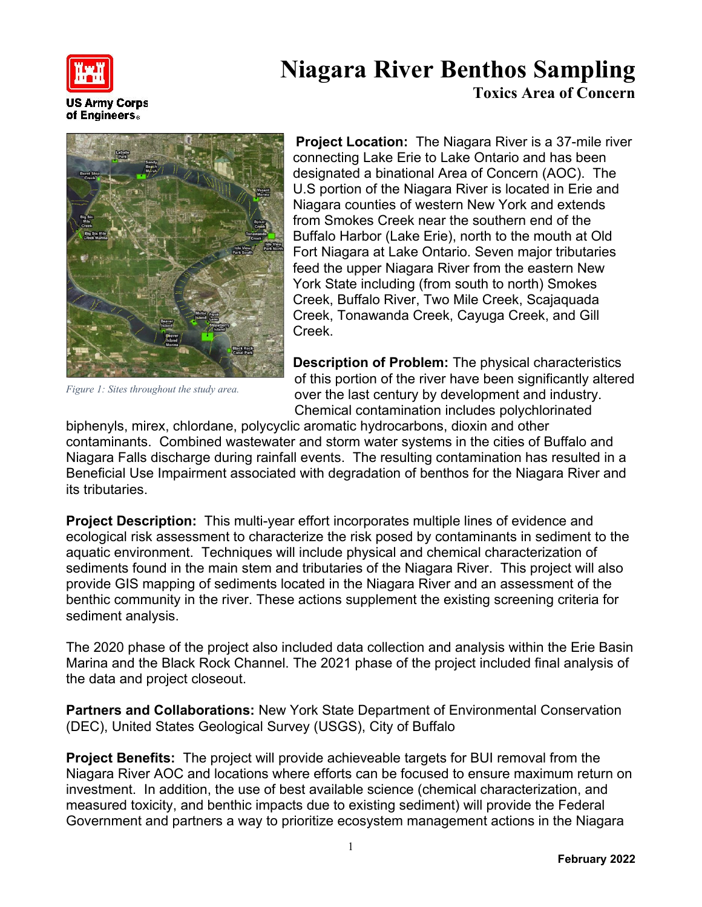

**US Army Corps** of Engineers.

## **Niagara River Benthos Sampling Toxics Area of Concern**



*Figure 1: Sites throughout the study area.*

**Project Location:** The Niagara River is a 37-mile river connecting Lake Erie to Lake Ontario and has been designated a binational Area of Concern (AOC). The U.S portion of the Niagara River is located in Erie and Niagara counties of western New York and extends from Smokes Creek near the southern end of the Buffalo Harbor (Lake Erie), north to the mouth at Old Fort Niagara at Lake Ontario. Seven major tributaries feed the upper Niagara River from the eastern New York State including (from south to north) Smokes Creek, Buffalo River, Two Mile Creek, Scajaquada Creek, Tonawanda Creek, Cayuga Creek, and Gill Creek.

**Description of Problem:** The physical characteristics of this portion of the river have been significantly altered over the last century by development and industry. Chemical contamination includes polychlorinated

biphenyls, mirex, chlordane, polycyclic aromatic hydrocarbons, dioxin and other contaminants. Combined wastewater and storm water systems in the cities of Buffalo and Niagara Falls discharge during rainfall events. The resulting contamination has resulted in a Beneficial Use Impairment associated with degradation of benthos for the Niagara River and its tributaries.

**Project Description:** This multi-year effort incorporates multiple lines of evidence and ecological risk assessment to characterize the risk posed by contaminants in sediment to the aquatic environment. Techniques will include physical and chemical characterization of sediments found in the main stem and tributaries of the Niagara River. This project will also provide GIS mapping of sediments located in the Niagara River and an assessment of the benthic community in the river. These actions supplement the existing screening criteria for sediment analysis.

The 2020 phase of the project also included data collection and analysis within the Erie Basin Marina and the Black Rock Channel. The 2021 phase of the project included final analysis of the data and project closeout.

**Partners and Collaborations:** New York State Department of Environmental Conservation (DEC), United States Geological Survey (USGS), City of Buffalo

**Project Benefits:** The project will provide achieveable targets for BUI removal from the Niagara River AOC and locations where efforts can be focused to ensure maximum return on investment. In addition, the use of best available science (chemical characterization, and measured toxicity, and benthic impacts due to existing sediment) will provide the Federal Government and partners a way to prioritize ecosystem management actions in the Niagara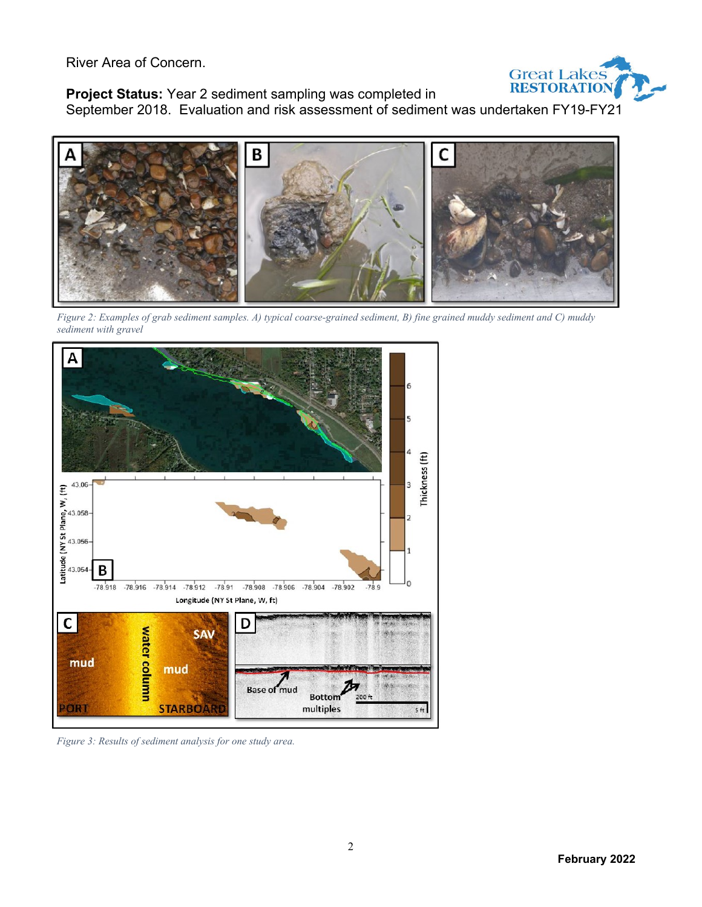River Area of Concern.



**Project Status:** Year 2 sediment sampling was completed in

September 2018. Evaluation and risk assessment of sediment was undertaken FY19-FY21



*Figure 2: Examples of grab sediment samples. A) typical coarse-grained sediment, B) fine grained muddy sediment and C) muddy sediment with gravel*



*Figure 3: Results of sediment analysis for one study area.*